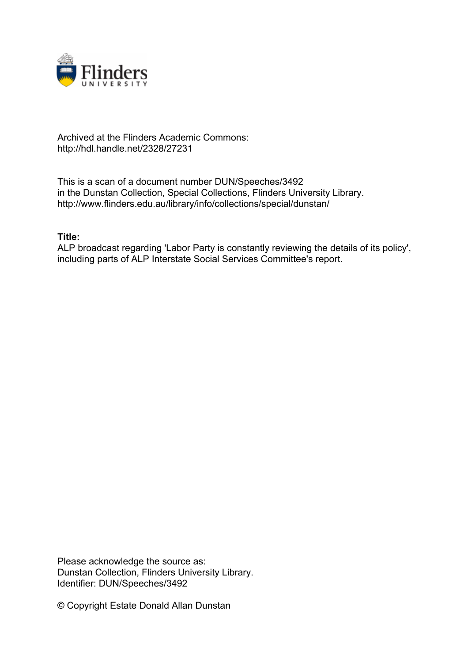

## Archived at the Flinders Academic Commons: http://hdl.handle.net/2328/27231

This is a scan of a document number DUN/Speeches/3492 in the Dunstan Collection, Special Collections, Flinders University Library. http://www.flinders.edu.au/library/info/collections/special/dunstan/

## **Title:**

ALP broadcast regarding 'Labor Party is constantly reviewing the details of its policy', including parts of ALP Interstate Social Services Committee's report.

Please acknowledge the source as: Dunstan Collection, Flinders University Library. Identifier: DUN/Speeches/3492

© Copyright Estate Donald Allan Dunstan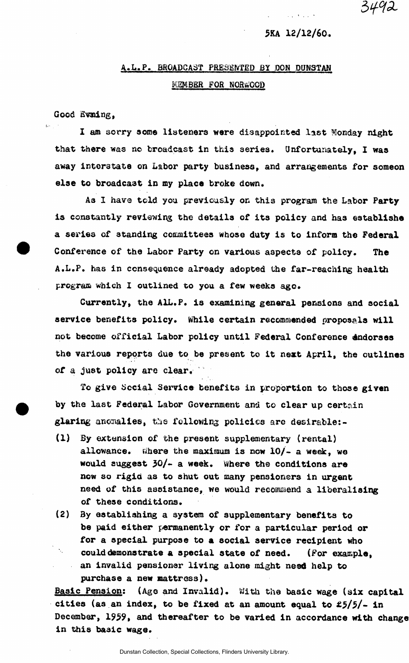## **5KA 12/12/60.**

3492

## **A.L.P. BROADCAST PRESENTED BY DON DUNSTAN KEMBBR FOR NORWOOD**

Good Evning.

**I am sorry some listeners were disappointed last Monday night that there was no broadcast in this aeries. Unfortunately, I was**  away interstate on Labor party business, and arrangements for someon **else to broadcast in my place broke down.** 

**As I have tcld you previously on this program the Labor Party**  is constantly reviewing the details of its policy and has establishe **a series of standing coioaitteea whose duty is to inform the Federal Conference of the Labor Party on various aspects of policy. The A.L.P. has in consequence already adopted the far-reaching health program which I outlined to you a few weeks ago.** 

**Currently, the AIL.P. is examining general pensions and social service benefits policy. While certain recommended proposals will not become official Labor policy until Federal Conference indorses the various reports due to be present to it next April, the outlines of a just policy are clear.** 

**To give Social Service benefits in proportion to those given by the last Federal Labor Government and to clear up certain glaring anomalies, the following policies are desirable:-**

- **(1) By extension of the present supplementary (rental)**  allowance. Where the maximum is now 10/- a week, we **would suggest 30/- a week. Where the conditions are now so rigid as to shut out many pensioners in urgent need of this assistance, we would recommend a liberalising of these conditions.**
- **(2)** *By* **establishing a system of supplementary benefits to be paid either permanently or for a particular period or for a special purpose to a social service recipient who could demonstrate a special state of need. (For example, an invalid pensioner living alone might need help to purchase a new mattress).**

**Basic Pension: (Age and Invalid). With the basic wage (six capital cities (as an index, to be fixed at an amount equal to £5/5/- in December, 1959, and thereafter to be varied in accordance with change in this basic wage.**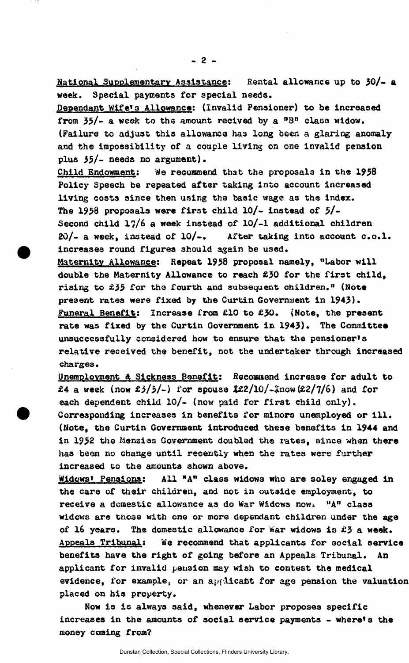**National Supplementary Assistance: Rental allowance up to 30/- a week. Special payments for special needs.** 

**Dependant Wlfe<sup>t</sup>s Allowance: (Invalid Pensioner) to be increased from 35/- a week to the amount recived by a °B<sup>n</sup> class widow. (Failure to adjust this allowance has long been a glaring anomaly and the Impossibility of a couple living on one invalid pension plus 35/- needs no argument).** 

**Child Endowment: We recommend that the proposals in the 1958 Policy Speech be repeated after taking into account increased living costs since then using the basic wage as the index. The 1958 proposals were first child 10/- instead of 5/- Second child 17/6 a week instead of 10/-1 additional children 20/- a week, instead of 10/-, After taking into account c.o.l.**  increases round figures should again be used.

**Maternity Allowance: Repeat 1958 proposal namely, "Labor will double the Maternity Allowance to reach £30 for the first child, rising to £55 for the fourth and subsequent children." (Note present rates were fixed by the Curtin Government in 1943). Funeral Benefit: Increase from £10 to £30. {Note, the present**  rate was fixed by the Curtin Government in 1943). The Committee **unsuccessfully considered how to ensure that the pensioner's relative received the benefit, not. the undertaker through increased charges.** 

**Unemployment & Sickness Benefit: fiecomaend increase for adult to £4 a week (now £5/5/-) for spouse Jfc£2/l0/-£now (£2/7/6) and for each dependent child 10/- (now paid for first child only). Corresponding increases in benefits for minors unemployed or ill. (Note, the Curtin Government introduced these benefits in 1944 and in 1952 the Mensias Government doubled the rates, since when there has been no change until recently when the rates were further increased to the amounts shown above.** 

**Widows' Pensions: All "A" class widows who are soley engaged in the care of their children, and not in outside employment, to receive a domestic allowance as do War Widows now. <sup>u</sup>A <sup>n</sup> class widows are these with one or more dependant children under the age of 16 years. The domestic allowance for War widows is £3 a week. Appeals Tribunal: We recommend that applicants for social service benefits have the right of going before an Appeals Tribunal. An applicant for invalid pension may wish to contest the medical evidence, for example, or an applicant for age pension the valuation placed on his property.** 

**Now is is always said, whenever Labor proposes specific increases in the amounts of social service payments - Where's the money coming from?**